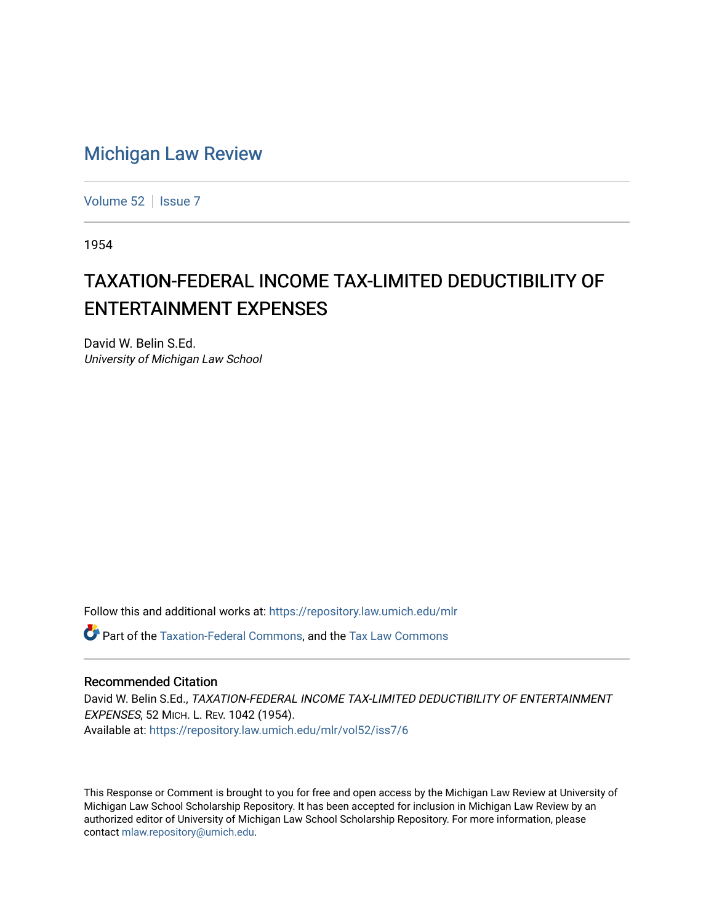# [Michigan Law Review](https://repository.law.umich.edu/mlr)

[Volume 52](https://repository.law.umich.edu/mlr/vol52) | [Issue 7](https://repository.law.umich.edu/mlr/vol52/iss7)

1954

# TAXATION-FEDERAL INCOME TAX-LIMITED DEDUCTIBILITY OF ENTERTAINMENT EXPENSES

David W. Belin S.Ed. University of Michigan Law School

Follow this and additional works at: [https://repository.law.umich.edu/mlr](https://repository.law.umich.edu/mlr?utm_source=repository.law.umich.edu%2Fmlr%2Fvol52%2Fiss7%2F6&utm_medium=PDF&utm_campaign=PDFCoverPages) 

Part of the [Taxation-Federal Commons](http://network.bepress.com/hgg/discipline/881?utm_source=repository.law.umich.edu%2Fmlr%2Fvol52%2Fiss7%2F6&utm_medium=PDF&utm_campaign=PDFCoverPages), and the [Tax Law Commons](http://network.bepress.com/hgg/discipline/898?utm_source=repository.law.umich.edu%2Fmlr%2Fvol52%2Fiss7%2F6&utm_medium=PDF&utm_campaign=PDFCoverPages) 

#### Recommended Citation

David W. Belin S.Ed., TAXATION-FEDERAL INCOME TAX-LIMITED DEDUCTIBILITY OF ENTERTAINMENT EXPENSES, 52 MICH. L. REV. 1042 (1954). Available at: [https://repository.law.umich.edu/mlr/vol52/iss7/6](https://repository.law.umich.edu/mlr/vol52/iss7/6?utm_source=repository.law.umich.edu%2Fmlr%2Fvol52%2Fiss7%2F6&utm_medium=PDF&utm_campaign=PDFCoverPages)

This Response or Comment is brought to you for free and open access by the Michigan Law Review at University of Michigan Law School Scholarship Repository. It has been accepted for inclusion in Michigan Law Review by an authorized editor of University of Michigan Law School Scholarship Repository. For more information, please contact [mlaw.repository@umich.edu](mailto:mlaw.repository@umich.edu).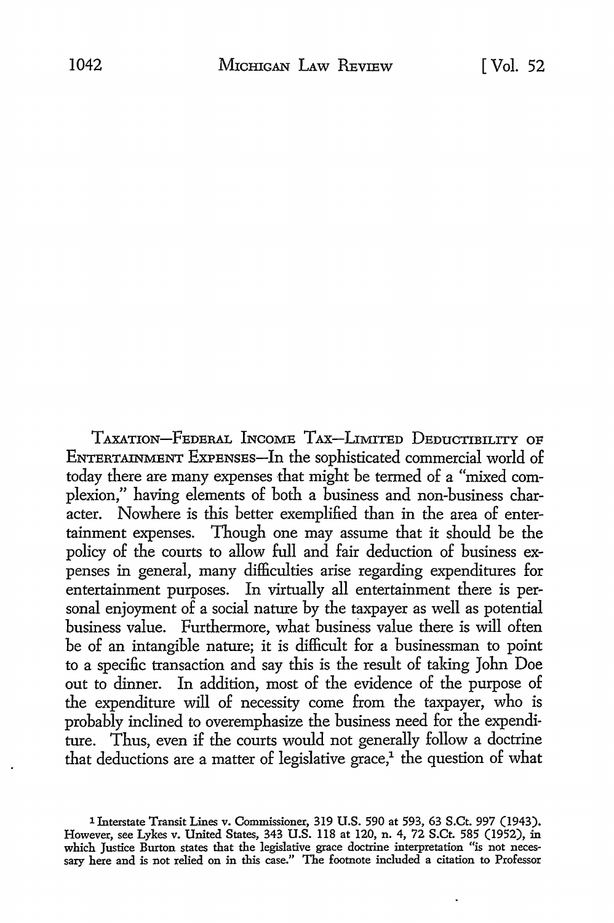TAXATION-FEDERAL INCOME TAX-LIMITED DEDUCTIBILITY OF ENTERTAINMENT EXPENSES-In the sophisticated commercial world of today there are many expenses that might be termed of a "mixed complexion," having elements of both a business and non-business character. Nowhere is this better exemplified than in the area of entertainment expenses. Though one may assume that it should be the policy of the courts to allow full and fair deduction of business expenses in general, many difficulties arise regarding expenditures for entertainment purposes. In virtually all entertainment there is personal enjoyment of a social nature by the taxpayer as well as potential business value. Furthermore, what business value there is will often be of an intangible nature; it is difficult for a businessman to pojnt to a specific transaction and say this is the result of taking John Doe out to dinner. In addition, most of the evidence of the purpose of the expenditure will of necessity come from the taxpayer, who is probably inclined to overemphasize the business need for the expenditure. Thus, even if the courts would not generally follow a doctrine that deductions are a matter of legislative grace,<sup>1</sup> the question of what

<sup>1</sup> Interstate Transit Lines v. Commissioner, 319 **U.S.** 590 at 593, 63 S.Ct. 997 (1943). However, see Lykes v. United States, 343 U.S. II8 at 120, n. 4, 72 S.Ct. 585 (1952), in which Justice Burton states that the legislative grace doctrine interpretation "is not necessary here and is not relied on in this case." The footnote included a citation to Professor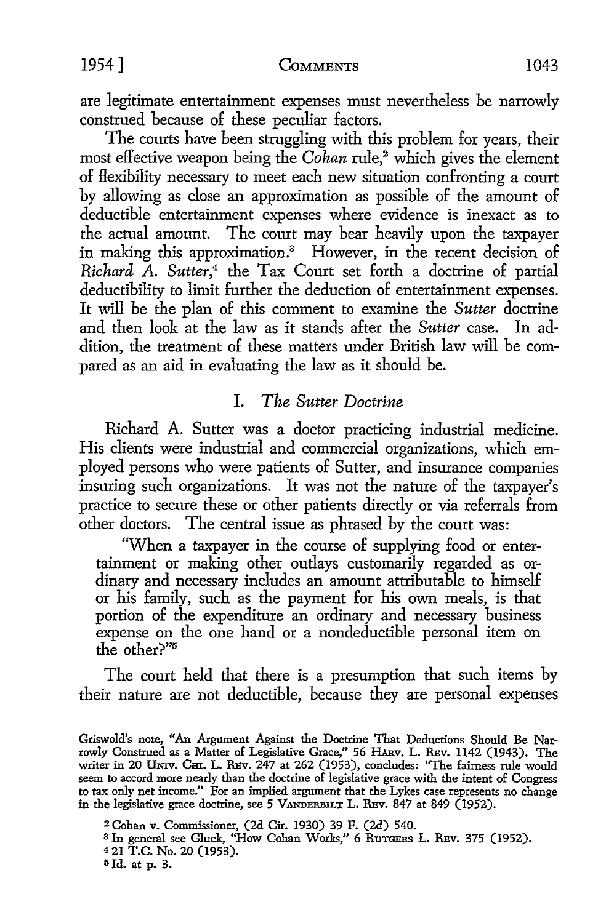are legitimate entertainment expenses must nevertheless be narrowly construed because of these peculiar factors.

The courts have been struggling with this problem for years, their most effective weapon being the *Cohan* rule,2 which gives the element of Hexibility necessary to meet each new situation confronting a court by allowing as close an approximation as possible of the amount of deductible entertainment expenses where evidence is inexact as to the actual amount. The court may bear heavily upon the taxpayer in making this approximation.3 However, in the recent decision of *Richard* A. *Sutter,4* the Tax Court set forth a doctrine of partial deductibility to limit further the deduction of entertainment expenses. It will be the plan of this comment to examine the *Sutter* doctrine and then look at the law as it stands after the *Sutter* case. In addition, the treatment of these matters under British law will be compared as an aid in evaluating the law as it should be.

# I. *The Sutter Doctrine*

Richard A. Sutter was a doctor practicing industrial medicine. His clients were industrial and commercial organizations, which employed persons who were patients of Sutter, and insurance companies insuring such organizations. It was not the nature of the taxpayer's practice to secure these or other patients directly or via referrals from other doctors. The central issue as phrased by the court was:

'When a taxpayer in the course of supplying food or entertainment or making other outlays customarily regarded as ordinary and necessary includes an amount attributable to himself or his family, such as the payment for his own meals, is that portion of the expenditure an ordinary and necessary business expense on the one hand or a nondeductible personal item on the other?"<sup>5</sup>

The court held that there is a presumption that such items by their nature are not deductible, because they are personal expenses

<sup>2</sup>Cohan v. Commissioner, (2d Cir. 1930) 39 F. (2d) 540.

- <sup>3</sup> In general see Gluck, "How Cohan Works," 6 Ruroens L. REv. 375 (1952).
- 4 21 T.C. No. 20 (1953).
- <sup>5</sup> 1d. at p. 3.

Griswold's note, "An Argument Against the Doctrine That Deductions Should Be Narrowly Construed as a Matter of Legislative Grace," 56 HARv. L. Rsv. 1142 (1943). The writer in 20 UNIV. Cm. L. Rsv. 247 at 262 (1953), concludes: "The fairness rule would seem to accord more nearly than the doctrine of legislative grace with the intent of Congress to tax only net income." For an implied argument that the Lykes case represents no change in the legislative grace doctrine, see  $5$  VANDERBILT L. REV. 847 at 849 (1952).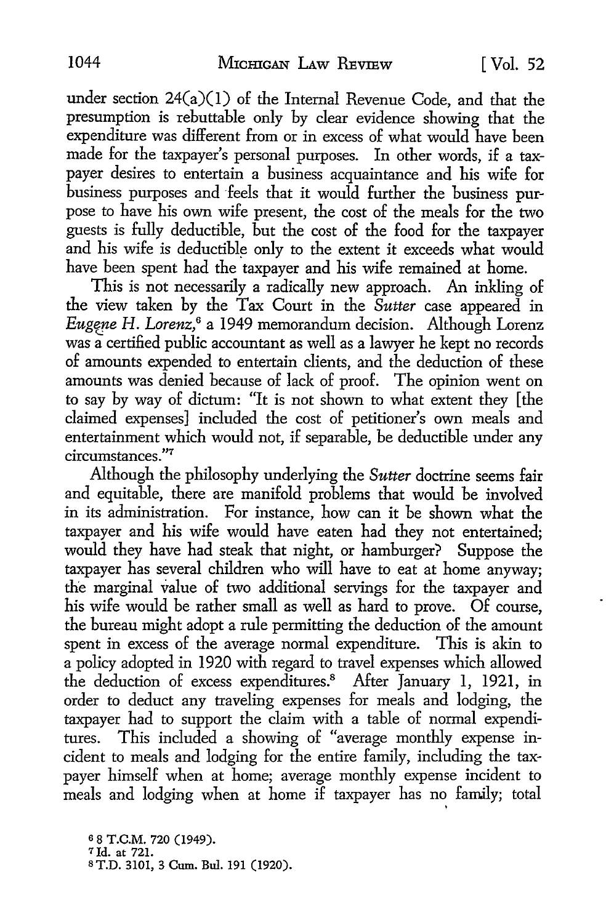under section  $24(a)(1)$  of the Internal Revenue Code, and that the presumption is rebuttable only by clear evidence showing that the expenditure was different from or in excess of what would have been made for the taxpayer's personal purposes. In other words, if a taxpayer desires to entertain a business acquaintance and his wife for business purposes and "feels that it would further the business purpose to have his own wife present, the cost of the meals for the two guests is fully deductible, but the cost of the food for the taxpayer and his wife is deductible only to the extent it exceeds what would have been spent had the taxpayer and his wife remained at home.

This is not necessarily a radically new approach. An inkling of the view taken by the Tax Court in the *Sutter* case appeared in *Eugene H. Lorenz*,<sup>6</sup> a 1949 memorandum decision. Although Lorenz was a certified public accountant as well as a lawyer he kept no records of amounts expended to entertain clients, and the deduction of these amounts was denied because of lack of proof. The opinion went on to say by way of dictum: "It is not shown to what extent they [the claimed expenses] included the cost of petitioner's own meals and entertainment which would not, if separable, be deductible under any circumstances."<sup>7</sup>

Although the philosophy underlying the *Sutter* doctrine seems fair and equitable, there are manifold problems that would be involved in its administration. For instance, how can it be shown what the taxpayer and his wife would have eaten had they not entertained; would they have had steak that night, or hamburger? Suppose the taxpayer has several children who will have to eat at home anyway; the marginal value of two additional servings for the taxpayer and his wife would be rather small as well as hard to prove. Of course, the bureau might adopt a rule permitting the deduction of the amount spent in excess of the average normal expenditure. This is akin to a policy adopted in 1920 with regard to travel expenses which allowed the deduction of excess expenditures.<sup>8</sup> After January 1, 1921, in order to deduct any traveling expenses for meals and lodging, the taxpayer had to support the clajm with a table of normal expenditures. This included a showing of "average monthly expense incident to meals and lodging for the entire family, including the taxpayer himself when at home; average monthly expense incident to meals and lodging when at home if taxpayer has no family; total

'

s 8 T.C.M. 720 (1949). 7Id. at 721. s T.D. 3101, 3 Cum. Bul. 191 (1920).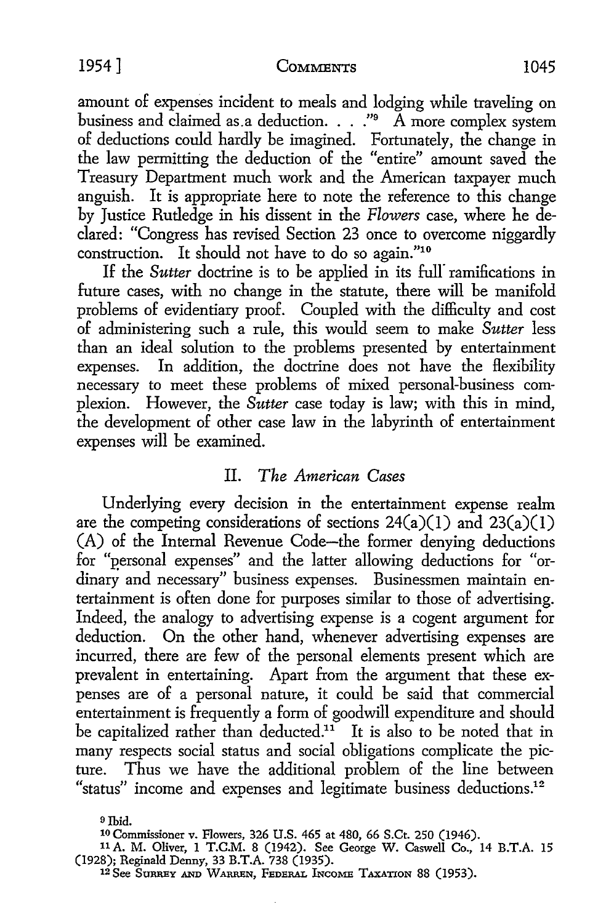amount of expenses incident to meals and lodging while traveling on business and claimed as a deduction.  $\ldots$  ." A more complex system of deductions could hardly be imagined. Fortunately, the change in the law permitting the deduction of the "entire" amount saved the Treasury Department much work and the American taxpayer much anguish. It is appropriate here to note the reference to this change by Justice Rutledge in his dissent in the *Flowers* case, where he declared: "Congress has revised Section 23 once to overcome niggardly construction. It should not have to do so again."10

If the *Sutter* doctrine is to be applied in its full ramifications in future cases, with no change in the statute, there will be manifold problems of evidentiary proof. Coupled with the difficulty and cost of administering such a rule, this would seem to make *Sutter* less than an ideal solution to the problems presented by entertainment expenses. In addition, the doctrine does not have the flexibility necessary to meet these problems of mixed personal-business complexion. However, the *Sutter* case today is law; with this in mind, the development of other case law in the labyrinth of entertainment expenses will be examined.

### II. *The American Cases*

Underlying every decision in the entertainment expense realm are the competing considerations of sections  $24(a)(1)$  and  $23(a)(1)$ (A) of the Internal Revenue Code-the former denying deductions for "personal expenses" and the latter allowing deductions for "ordinary and necessary" business expenses. Businessmen maintain entertainment is often done for purposes similar to those of advertising. Indeed, the analogy to advertising expense is a cogent argument for deduction. On the other hand, whenever advertising expenses are incurred, there are few of the personal elements present which are prevalent in entertaining. Apart from the argument that these expenses are of a personal nature, it could be said that commercial entertainment is frequently a form of goodwill expenditure and should be capitalized rather than deducted.<sup>11</sup> It is also to be noted that in many respects social status and social obligations complicate the picture. Thus we have the additional problem of the line between "status" income and expenses and legitimate business deductions.<sup>12</sup>

9 Ibid.

10 Commissioner v. Flowers, 326 U.S. 465 at 480, 66 S.Ct. 250 (1946).

<sup>11</sup>A. M. Oliver, 1 T.C.M. 8 (1942). See George W. Caswell Co., 14 B.T.A. 15 (1928); Reginald Denny, 33 B.T.A. 738 (1935).

12 See SURREY AND WARREN, FEDERAL lNcoME TAXATION 88 (1953).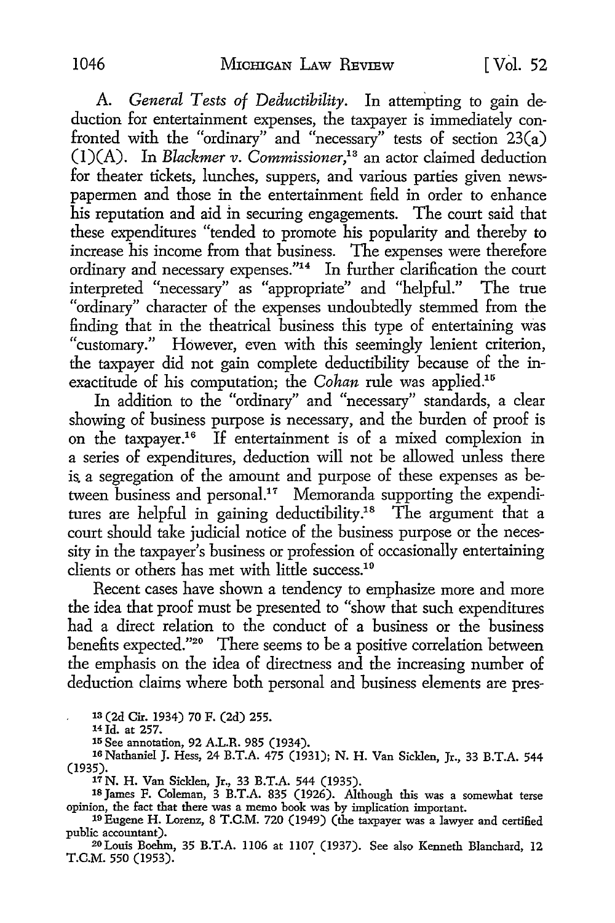A. *General Tests of Deductibility.* In attempting to gain deduction for entertainment expenses, the taxpayer is immediately confronted with the "ordinary" and "necessary" tests of section 23(a) (l)(A). In *Blackmer v. Commissioner,1* <sup>3</sup>an actor claimed deduction for theater tickets, lunches, suppers, and various parties given newspapermen and those in the entertainment field in order to enhance his reputation and aid in securing engagements. The court said that these expenditures "tended to promote his popularity and thereby **to**  increase his income from that business. The expenses were therefore ordinary and necessary expenses."<sup>14</sup> In further clarification the court interpreted "necessary" as "appropriate" and "helpful." The true "ordinary" character of the expenses undoubtedly stemmed from the finding that in the theatrical business this type of entertaining was "customary." However, even with this seemingly lenient criterion, the taxpayer did not gain complete deductibility because of the inexactitude of his computation; the *Cohan* rule was applied.<sup>15</sup>

In addition to the "ordinary" and "necessary" standards, a clear showing of business purpose is necessary, and the burden of proof is on the taxpayer.16 If entertainment is of a mixed complexion in a series of expenditures, deduction will not be allowed unless there is. a segregation of the amount and purpose of these expenses as between business and personal.17 Memoranda supporting the expenditures are helpful in gaining deductibility.<sup>18</sup> The argument that a court should take judicial notice of the business purpose or the necessity in the taxpayer's business or profession of occasionally entertaining clients or others has met with little success.<sup>19</sup>

Recent cases have shown a tendency to emphasize more and more the idea that proof must be presented to "show that such expenditures had a direct relation to the conduct of a business or the business benefits expected."20 There seems to be a positive correlation between the emphasis on the idea of directness and the increasing number of deduction claims where both personal and business elements are pres-

1a (2d Cir. 1934) 70 F. (2d) 255.

14 Id. at 257.

15 See annotation, 92 A.L.R. 985 (1934).

16 Nathaniel J. Hess, 24 B.T.A. 475 (1931); N. H. Van Sicl<len, Jr., 33 B.T.A. 544 (1935).

17 N. H. Van Sicklen, Jr., 33 B.T.A. 544 (1935).

18 James F. Coleman, 3 B.T.A. 835 (1926). Although this was a somewhat terse opinion, the fact that there was a memo book was by implication important.

<sup>1</sup>9 Eugene H. Lorenz, 8 T.C.M. 720 (1949) (the taxpayer was a lawyer and certified public accountant).

20 Louis Boehm, 35 B.T.A. 1106 at 1107 (1937). See also Kenneth Blanchard, 12 T.C.M. 550 (1953). .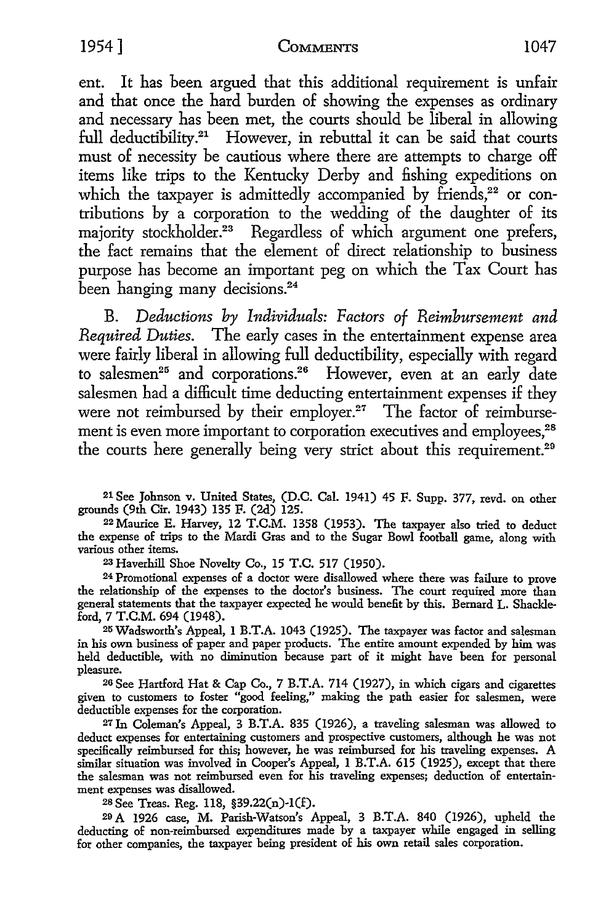ent. It has been argued that this additional requirement is unfair and that once the hard burden of showing the expenses as ordinary and necessary has been met, the courts should be liberal in allowing full deductibility.<sup>21</sup> However, in rebuttal it can be said that courts must of necessity be cautious where there are attempts to charge off items like trips to the Kentucky Derby and fishing expeditions on which the taxpayer is admittedly accompanied by friends.<sup>22</sup> or contributions by a corporation to the wedding of the daughter of its majority stockholder.<sup>23</sup> Regardless of which argument one prefers, the fact remains that the element of direct relationship to business purpose has become an important peg on which the Tax Court has been hanging many decisions.<sup>24</sup>

B. *Deductions by Individuals: Factors of Reimbursement and Required Duties.* The early cases in the entertainment expense area were fairly liberal in allowing full deductibility, especially with regard to salesmen<sup>25</sup> and corporations.<sup>26</sup> However, even at an early date salesmen had a difficult time deducting entertainment expenses if they were not reimbursed by their employer.<sup>27</sup> The factor of reimbursement is even more important to corporation executives and employees.<sup>28</sup> the courts here generally being very strict about this requirement.<sup>29</sup>

21 See Johnson v. United States, (D.C. Cal. 1941) 45 F. Supp. 377, revd. on other

<sup>22</sup> Maurice E. Harvey, 12 T.C.M. 1358 (1953). The taxpayer also tried to deduct the expense of trips to the Mardi Gras and to the Sugar Bowl football game, along with various other items.

<sup>23</sup>Haverhill Shoe Novelty Co., 15 T.C. 517 (1950). 24 Promotional expenses of a doctor were disallowed where there was failure to prove the relationship of the expenses to the doctor's business. The court required more than general statements that the taxpayer expected he would benefit by this. Bernard L. Shackleford, 7 T.C.M. 694 (1948).

25 Wadsworth's Appeal, 1 B.T.A. 1043 (1925). The taxpayer was factor and salesman in his own business of paper and paper products. The entire amount expended by him was held deductible, with no diminution because part of it might have been for personal pleasure.

20 See Hartford Hat & Cap Co., 7 B.T.A. 714 (1927), in which cigars and cigarettes given to customers to foster "good feeling," making the path easier for salesmen, were deductible expenses for the corporation.

27 In Coleman's Appeal, 3 B.T.A. 835 (1926), a traveling salesman was allowed to deduct expenses for entertaining customers and prospective customers, although he was not specifically reimbursed for this; however, he was reimbursed for his traveling expenses. A similar situation was involved in Cooper's Appeal, 1 B.T.A. 615 (1925), except that there the salesman was not reimbursed even for his traveling expenses; deduction of entertainment expenses was disallowed.

28 See Treas. Reg. 118, §39.22(n)-1(£).

20 A 1926 case, M. Parish-Watson's Appeal, 3 B.T.A. 840 (1926), upheld the deducting of non-reimbursed expenditures made by a taxpayer while engaged in selling for other companies, the taxpayer being president of his own retail sales corporation.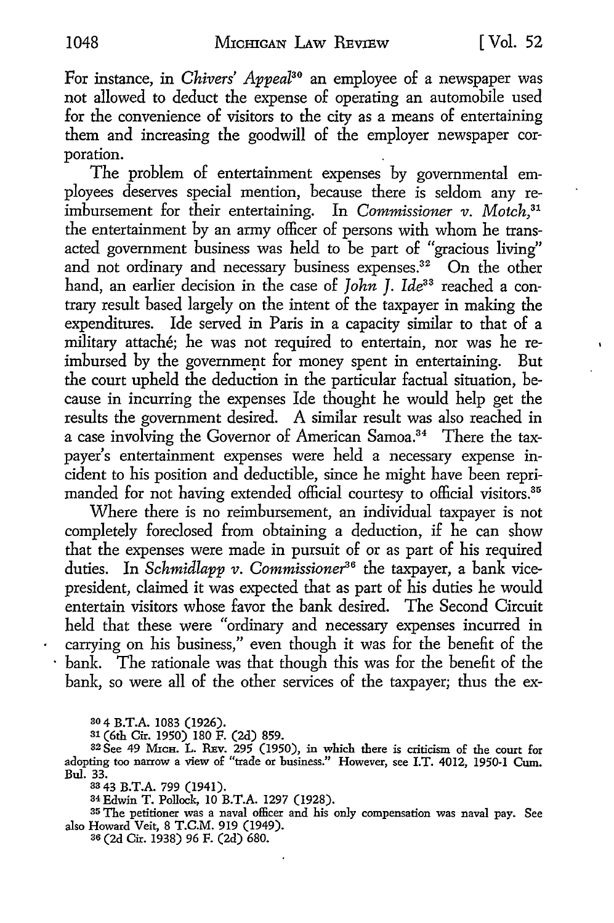For instance, in *Chivers' Appeal*<sup>30</sup> an employee of a newspaper was not allowed to deduct the expense of operating an automobile used for the convenience of visitors to the city as a means of entertaining them and increasing the goodwill of the employer newspaper corporation. .

The problem of entertainment expenses by governmental employees deserves special mention, because there is seldom any reimbursement for their entertaining. In *Commissioner v. Motch,31*  the entertainment by an army officer of persons with whom he transacted government business was held to be part of "gracious living" and not ordinary and necessary business expenses.<sup>32</sup> On the other hand, an earlier decision in the case of *John I. Ide*<sup>33</sup> reached a contrary result based largely on the intent of the taxpayer in making the expenditures. Ide served in Paris in a capacity similar to that of a military attaché; he was not required to entertain, nor was he reimbursed by the government for money spent in entertaining. But the court upheld the deduction in the particular factual situation, because in incurring the expenses Ide thought he would help get the results the government desired. A similar result was also reached in a case involving the Governor of American Samoa.<sup>34</sup> There the taxpayer's entertainment expenses were held a necessary expense incident to his position and deductible, since he might have been reprimanded for not having extended official courtesy to official visitors.<sup>35</sup>

Where there is no reimbursement, an individual taxpayer is not completely foreclosed from obtaining a deduction, if he can show that the expenses were made in pursuit of or as part of his required duties. In *Schmidlapp v. Commissioner36* the taxpayer, a bank vicepresident, claimed it was expected that as part of his duties he would entertain visitors whose favor the bank desired. The Second Circuit held that these were "ordinary and necessary expenses incurred in carrying on his business," even though it was for the benefit of the bank. The rationale was that though this was for the benefit of the bank, so were all of the other services of the taxpayer; thus the ex-

<sup>30</sup>4 B.T.A. 1083 (1926).

31 (6th Cir. 1950) 180 F. (2d) 859.

32 See 49 MrcH. L. REv. 295 (1950), in which there is criticism of the court for adopting too narrow a view of "trade or business." However, see I.T. 4012, 1950-1 Cum. Bul. 33.

33 43 B.T.A. 799 (1941).

<sup>34</sup>Edwin T. Pollock, 10 B.T.A. 1297 (1928).

35 The petitioner was a naval officer and his only compensation was naval pay. See also Howard Veit, 8 T.C.M. 919 (1949). 36 (2d Cir. 1938) 96 F. (2d) 680.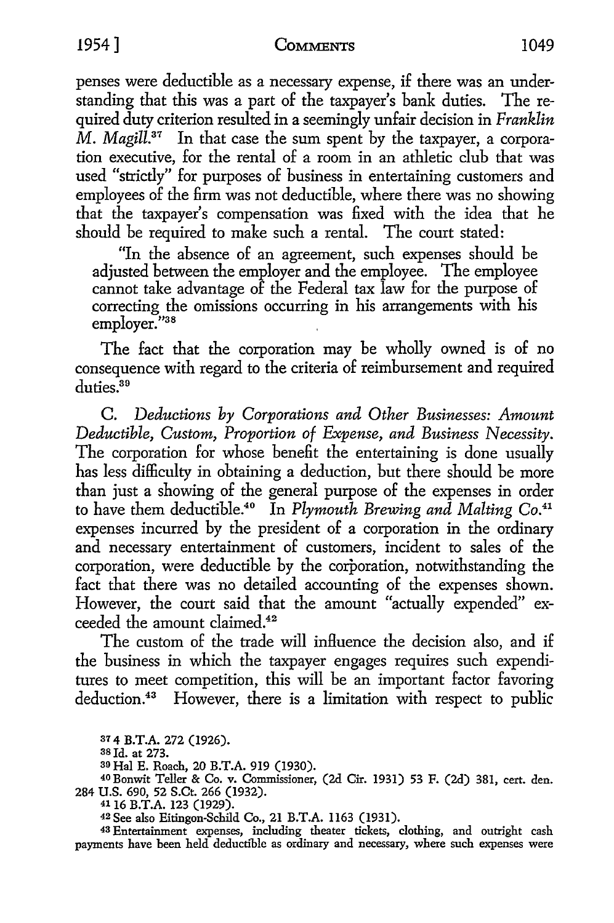penses were deductible as a necessary expense, if there was an understanding that this was a part of the taxpayer's bank duties. The required duty criterion resulted in a seemingly unfair decision in *Franklin*   $\overline{M}$ . *Magill*<sup>37</sup> In that case the sum spent by the taxpayer, a corporation executive, for the rental of a room in an athletic club that was used "strictly" for purposes of business in entertaining customers and employees of the firm was not deductible, where there was no showing that the taxpayer's compensation was 6.xed with the idea that he should be required to make such a rental. The court stated:

"In the absence of an agreement, such expenses should be adjusted between the employer and the employee. The employee cannot take advantage of the Federal tax law for the purpose of correcting the omissions occurring in his arrangements with his employer."38

The fact that the corporation may be wholly owned is of no consequence with regard to the criteria of reimbursement and required duties.<sup>39</sup>

C. *Deductions by Corporations and Other Businesses: Amount Deductible, Custom, Proportion of Expense, and Business Necessity.*  The corporation for whose benefit the entertaining is done usually has less difficulty in obtaining a deduction, but there should be more than just a showing of the general purpose of the expenses in order to have them deductible.40 In *Plymouth Brewing and Malting* Co.41 expenses incurred by the president of a corporation in the ordinary and necessary entertainment of customers, incident to sales of the corporation, were deductible by the corporation, notwithstanding the fact that there was no detailed accounting of the expenses shown. However, the court said that the amount "actually expended" exceeded the amount claimed.<sup>42</sup>

The custom of the trade will inHuence the decision also, and if the business in which the taxpayer engages requires such expenditures to meet competition, this will be an important factor favoring deduction.<sup>43</sup> However, there is a limitation with respect to public

**37 4 B.T.A. 272 (1926).** 

**38 Id.** at **273.** 

<sup>30</sup>**Hal E.** Roach, **20 B.T.A. 919** (1930).

<sup>40</sup>**Bonwit Teller** & **Co. v. Commissioner, (2d Cir. 1931) 53** F. (2d) **381,** cert. **den. 284 U.S. 690, 52 S.Ct.** 266 **(1932). 41 16 B.T.A. 123 (1929).** 

42 See also Eitingon-Schild **Co., 21 B.T.A.** l 163 (1931).

43 Entertainment **expenses, including theater tickets, clothing,** and outright cash payments have been held deductible as ordinary and necessary, where such expenses were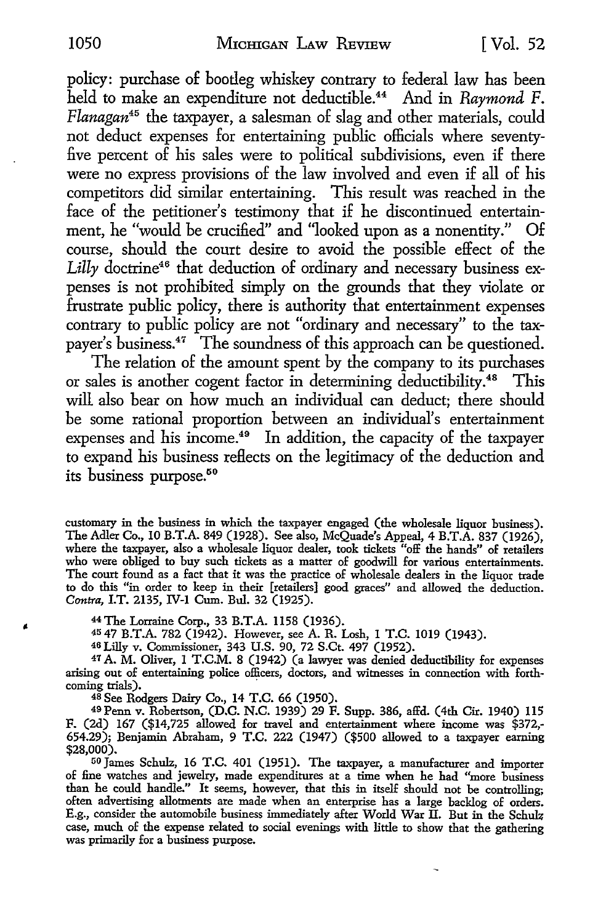policy: purchase of bootleg whiskey contrary to federal law has been held to make an expenditure not deductible. 44 And in *Raymond* F. *Flanagan<sup>45</sup>*the taxpayer, a salesman of slag and other materials, could not deduct expenses for entertaining public officials where seventy five percent of his sales were to political subdivisions, even if there were no express provisions of the law involved and even if all of his competitors did similar entertaining. This result was reached in the face of the petitioner's testimony that if he discontinued entertainment, he "would be crucified" and "looked upon as a nonentity." Of course, should the court desire to avoid the possible effect of the Lilly doctrine<sup>46</sup> that deduction of ordinary and necessary business expenses is not prohibited simply on the grounds that they violate or frustrate public policy, there is authority that entertainment expenses contrary to public policy are not "ordinary and necessary" to the taxpayer's business.47 The soundness of this approach can be questioned.

The relation of the amount spent by the company to its purchases or sales is another cogent factor in determining deductibility.<sup>48</sup> This will also bear on how much an individual can deduct; there should be some rational proportion between an individual's entertainment expenses and his income.<sup>49</sup> In addition, the capacity of the taxpayer to expand his business reflects on the legitimacy of the deduction and its business purpose.<sup>50</sup>

customary in the business in which the taxpayer engaged (the wholesale liquor business). The Adler Co., 10 B.T.A. 849 (1928). See also, McQuade's Appeal, 4 B.T.A. 837 (1926), where the taxpayer, also a wholesale liquor dealer, took tickets "off the hands" of retailers who were obliged to buy such tickets as a matter of goodwill for various entertainments. The court found as a fact that it was the practice of wholesale dealers in the liquor trade to do this "in order to keep in their [retailers] good graces" and allowed the deduction. *Contra,* I.T. 2135, IV-I Cum. Bul. 32 (1925).

44 The Lorraine Corp., 33 B.T.A. 1158 (1936).

45 47 B.T.A. 782 (1942). However, see A. R. Losh, I T.C. 1019 (1943).

46 Lilly v. Commissioner, 343 U.S. 90, 72 S.Ct. 497 (1952).

47 A. M. Oliver, 1 T.C.M. 8 (1942) (a lawyer was denied deductibility for expenses arising out of entertaining police officers, doctors, and witnesses in connection with forthcoming trials).

<sup>48</sup>See Rodgers Dairy Co., 14 T.C. 66 (1950).

49Penn v. Robertson, (D.C. N.C. 1939) 29 F. Supp. 386, affd. (4th Cir. 1940) 115 F. (2d) 167 (\$14,725 allowed for travel and entertainment where income was \$372,- 654.29); Benjamin Abraham, 9 T.C. 222 (1947) (\$500 allowed to a taxpayer earning \$28,000).

<sup>50</sup>James Schulz, 16 T.C. 401 (1951). The taxpayer, a manufacturer and importer of fine watches and jewelry, made expenditures at a time when he had "more business than he could handle." It seems, however, that this in itself should not be controlling; often advertising allotments are made when an enterprise has a large backlog of orders. E.g., consider the automobile business immediately after World War II. But in the Schulz case, much of the expense related to social evenings with little to show that the gathering was primarily for a business purpose.

Ñ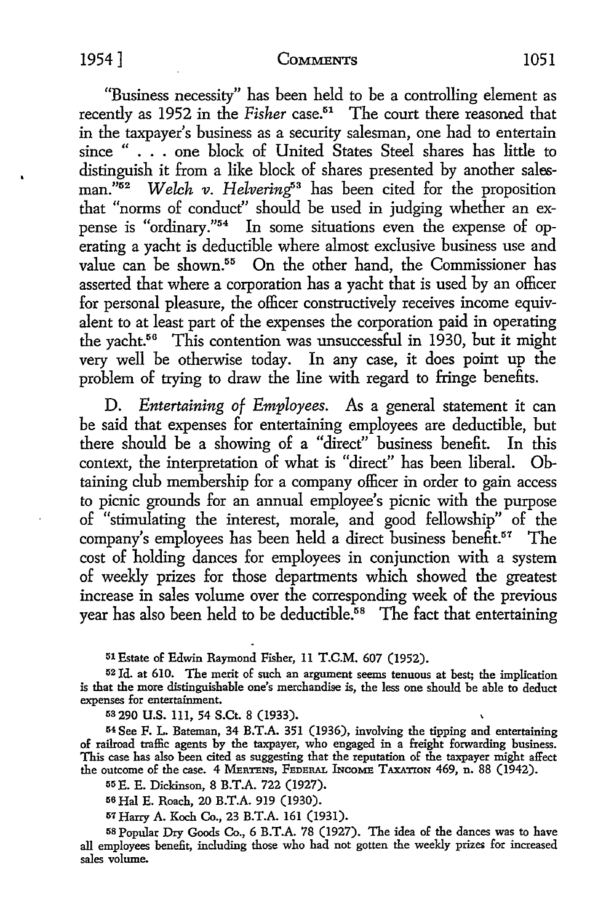"Business necessity" has been held to be a controlling element as recently as 1952 in the *Fisher* case.51 The court there reasoned that in the taxpayer's business as a security salesman, one had to entertain since " ... one block of United States Steel shares has little to distinguish it from a like block of shares presented by another salesman."<sup>52</sup> *Welch v. Helvering*<sup>53</sup> has been cited for the proposition that "norms of conduct'' should be used in judging whether an expense is "ordinary."54 In some situations even the expense of operating a yacht is deductible where almost exclusive business use and value can be shown.<sup>55</sup> On the other hand, the Commissioner has asserted that where a corporation has a yacht that is used by an officer for personal pleasure, the officer constructively receives income equivalent to at least part of the expenses the corporation paid in operating the yacht.56 This contention was unsuccessful in 1930, but it might very well be otherwise today. In any case, it does point up the problem of trying to draw the line with regard to fringe benefits.

D. *Entertaining of Employees.* As a general statement it can be said that expenses for entertaining employees are deductible, but there should be a showing of a "direct" business benefit. In this context, the interpretation of what is "direct" has been liberal. Obtaining club membership for a company officer in order to gain access to picnic grounds for an annual employee's picnic with the purpose of "stimulating the interest, morale, and good fellowship" of the company's employees has been held a direct business benefit.<sup>57</sup> The cost of holding dances for employees in conjunction with a system of weekly prizes for those departments which showed the greatest increase in sales volume over the corresponding week of the previous year has also been held to be deductible.<sup>58</sup> The fact that entertaining

51 Estate of Edwin Raymond Fisher, 11 T.C.M. 607 (1952).

52 Id. at 610. The merit of such an argument seems tenuous at best; the implication is that the more distinguishable one's merchandise is, the less one should be able to deduct expenses for entertainment.

53 290 U.S. lll, 54 S.Ct. 8 (1933).

<sup>54</sup>See F. L. Bateman, 34 B.T.A. 351 (1936), involving the tipping and entertaining of railroad traffic agents by the taxpayer, who engaged in a freight forwarding business. This case has also been cited as suggesting that the reputation of the taxpayer might affect the outcome of the case. 4 MERTENS, FEDERAL INCOME TAXATION 469, n. 88 (1942).

55 E. E. Dickinson, 8 B.T.A. 722 (1927).

56 Hal E. Roach, 20 B.T.A. 919 (1930).

57 Harry A. Koch Co., 23 B.T.A. 161 (1931).

58 Popular Dry Goods Co., 6 B.T.A. 78 (1927). The idea of the dances was to have all employees benefit, including those who had not gotten the weekly prizes for increased sales volume.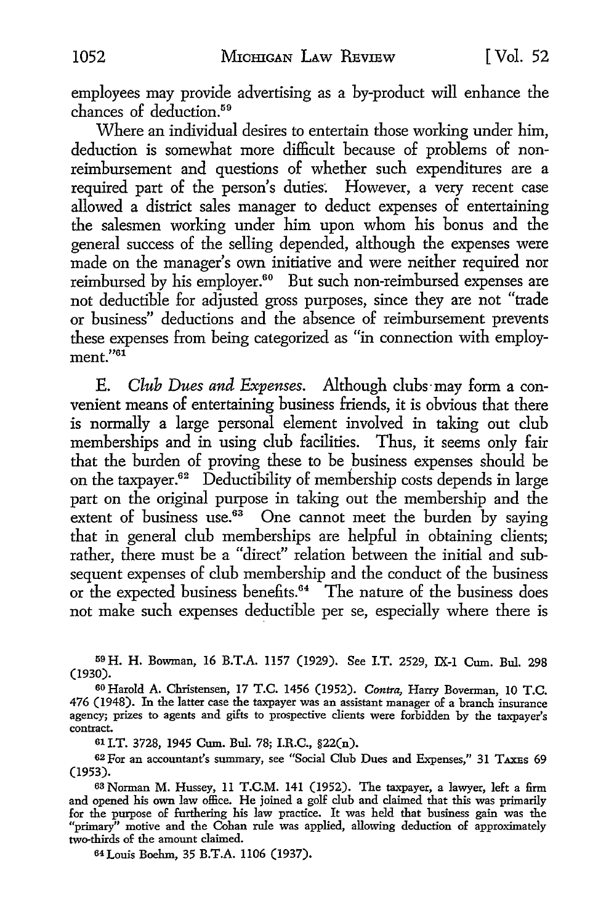employees may provide advertising as a by-product will enhance the chances of deduction.<sup>59</sup>

Where an individual desires to entertain those working under him, deduction is somewhat more difficult because of problems of nonreimbursement and questions of whether such expenditures are a required part of the person's duties: However, a very recent case allowed a district sales manager to deduct expenses of entertaining the salesmen working under him upon whom his bonus and the general success of the selling depended, although the expenses were made on the manager's own initiative and were neither required nor reimbursed by his employer.<sup>60</sup> But such non-reimbursed expenses are not deductible for adjusted gross purposes, since they are not "trade or business" deductions and the absence of reimbursement prevents these expenses from being categorized as "in connection with employment."<sup>61</sup>

E. *Club Dues and Expenses.* Although clubs· may form a convenient means of entertaining business friends, it is obvious that there is normally a large personal element involved in taking out club memberships and in using club facilities. Thus, it seems only fair that the burden of proving these to be business expenses should be on the taxpayer.<sup>62</sup> Deductibility of membership costs depends in large part on the original purpose in taking out the membership and the extent of business use.<sup>63</sup> One cannot meet the burden by saying that in general club memberships are helpful in obtaining clients; rather, there must be a "direct" relation between the initial and subsequent expenses of club membership and the conduct of the business or the expected business benefits. 64 The nature of the business does not make such expenses deductible per se, especially where there is

59 H. H. Bowman, 16 B.T.A. 1157 (1929). See I.T. 2529, IX-I Cum. Bul. 298 (1930).

60 Harold A. Christensen, 17 T.C. 1456 (1952). *Contra,* Harry Boverman, 10 T.C. 476 (1948). In the latter case the taxpayer was an assistant manager of a branch insurance agency; prizes to agents and gifts to prospective clients were forbidden by the taxpayer's contract.

61 I.T. 3728, 1945 Cum. Bul. 78; I.R.C., §22(n).

62For an accountant's summary, see "Social Club Dues and Expenses," 31 TAXEs 69 (1953).

63 Norman M. Hussey, 11 T.C.M. 141 (1952). The taxpayer, a lawyer, left a firm and opened his own law office. He joined a golf club and claimed that this was primarily for the purpose of furthering his law practice. It was held that business gain was the "primary" motive and the Cohan rule was applied, allowing deduction of approximately two-thirds of the amount claimed.

64 Louis Boehm, 35 B.T.A. 1106 (1937).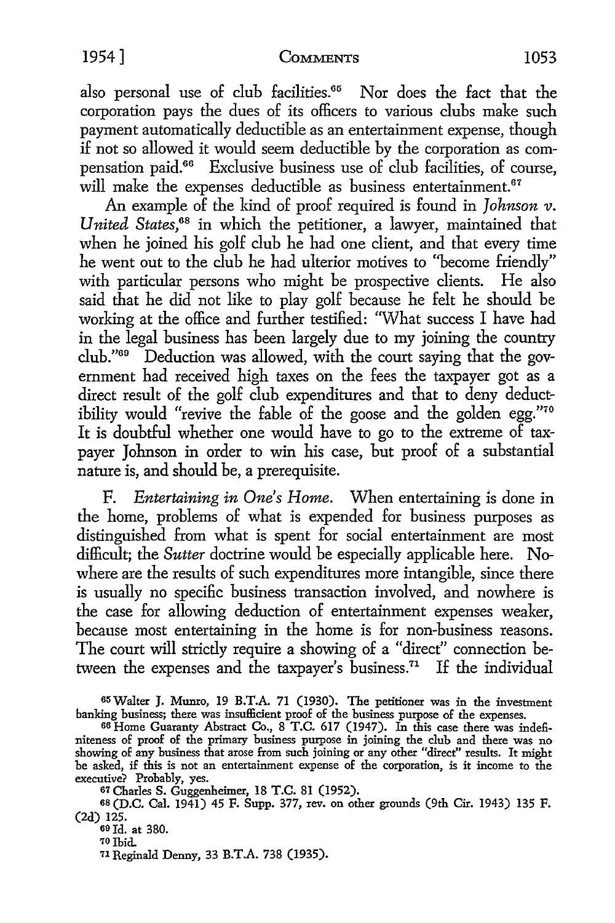also personal use of club facilities.<sup>65</sup> Nor does the fact that the corporation pays the dues of its officers to various clubs make such payment automatically deductible as an entertainment expense, though if not so allowed it would seem deductible by the corporation as compensation paid.66 Exclusive business use of club facilities, of course, will make the expenses deductible as business entertainment.<sup>67</sup>

An example of the kind of proof required is found in *Johnson v. United States,68* in which the petitioner, a lawyer, maintained that when he joined his golf club he had one client, and that every time he went out to the club he had ulterior motives to "become friendly" with particular persons who might be prospective clients. He also said that he did not like to play golf because he felt he should be working at the office and further testified: 'What success I have had in the legal business has been largely due to my joining the country club."00 Deduction was allowed, with the court saying that the government had received high taxes on the fees the taxpayer got as a direct result of the golf club expenditures and that to deny deductibility would "revive the fable of the goose and the golden egg."<sup>70</sup> It is doubtful whether one would have to go to the extreme of taxpayer Johnson in order to win his case, but proof of a substantial nature is, and should be, a prerequisite.

F. *Entertaining in One's Home.* When entertaining is done in the home, problems of what is expended for business purposes as distinguished from what is spent for social entertainment are most difficult; the *Sutter* doctrine would be especially applicable here. Nowhere are the results of such expenditures more intangible, since there is usually no specific business transaction involved, and nowhere is the case for allowing deduction of entertainment expenses weaker, because most entertaining in the home is for non-business reasons. The court will strictly require a showing of a "direct" connection between the expenses and the taxpayer's business.<sup> $71$ </sup> If the individual

65Walter J. Munro, 19 B.T.A. 71 (1930). The petitioner was in the investment banking business; there was insufficient proof of the business purpose of the expenses.

67 Charles S. Guggenheimer, 18 T.C. 81 (1952).

68 (D.C. Cal. 1941) 45 F. Supp. 377, rev. on other grounds (9th Cir. 1943) 135 F. (2d) 125.

69 Id. at 380.

70 Ibid.

11 Reginald Denny, 33 B.T.A. 738 (1935).

<sup>66</sup> Home Guaranty Abstract Co., 8 T.C. 617 (1947). In this case there was indefiniteness of proof of the primary business purpose in joining the club and there was no showing of any business that arose from such joining or any other "direct" results. It might be asked, if this is not an entertainment expense of the corporation, is it income to the executive? Probably, yes.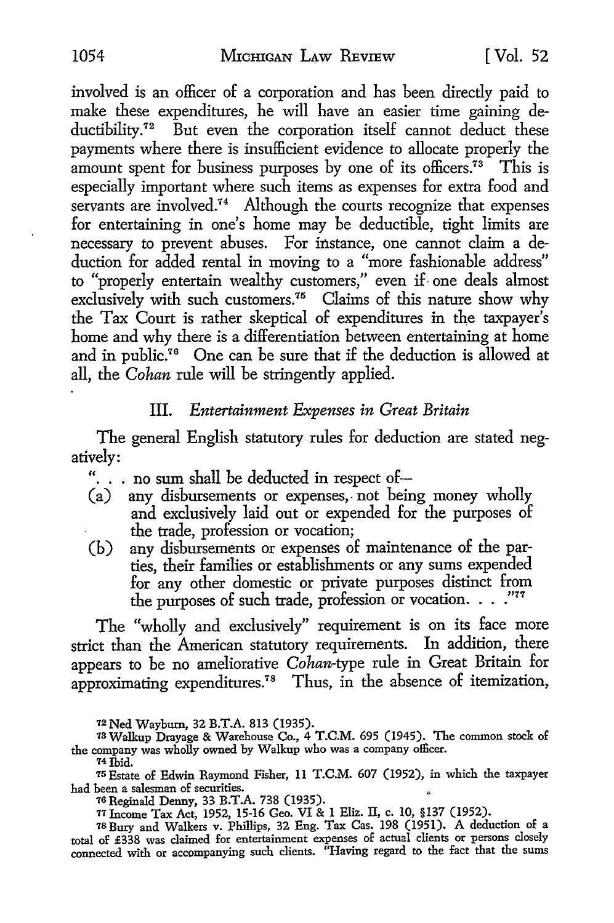involved is an officer of a corporation and has been directly paid to make these expenditures, he will have an easier time gaining deductibility.<sup>72</sup> But even the corporation itself cannot deduct these payments where there is insufficient evidence to allocate properly the amount spent for business purposes by one of its officers.<sup> $73$ </sup> This is especially important where such items as expenses for extra food and servants are involved.<sup>74</sup> Although the courts recognize that expenses for entertaining in one's home may be deductible, tight limits are necessary to prevent abuses. For instance, one cannot claim a deduction for added rental in moving to a "more fashionable address" to "properly entertain wealthy customers," even if. one deals almost exclusively with such customers.<sup>75</sup> Claims of this nature show why the Tax Court is rather skeptical of expenditures in the taxpayer's home and why there is a differentiation between entertaining at home and in public.<sup>76</sup> One can be sure that if the deduction is allowed at all, the *Cohan* rule will be stringently applied.

#### III. *Entertainment Expenses in Great Britain*

The general English statutory rules for deduction are stated negatively:

- "... no sum shall be deducted in respect of-<br>(a) any disbursements or expenses, not bein
- any disbursements or expenses, not being money wholly and exclusively laid out or expended for the purposes of the trade, profession or vocation;
- (b) any disbursements or expenses of maintenance of the parties, their families or establishments or any sums expended for any other domestic or private purposes distinct from the purposes of such trade, profession or vocation. . . . . "77

The "wholly and exclusively" requirement is on its face more strict than the American statutory requirements. In addition, there appears to be no ameliorative *Cohan-type* rule in Great Britain for approximating expenditures.<sup>78</sup> Thus, in the absence of itemization,

*12* Ned Waybum, 32 B.T.A. 813 (1935).

73 Walkup Drayage & Warehouse Co., 4 T.C.M. 695 (1945). The common stock of the company was wholly owned by Walkup who was a company officer.

74 Ibid.

75 Estate of Edwin Raymond Fisher, 11 T.C.M. 607 (1952), in which the taxpayer had been a salesman of securities.

76 Reginald Denny, 33 B.T.A. 738 (1935).

77Income Tax Act, 1952, 15-16 Geo. VI & 1 Eliz. II, c. 10, §137 (1952). 78 Bucy and Walkers v. Phillips, 32 Eng. Tax Cas. 198 (1951). A deduction of a total of £338 was claimed for entertainment expenses of actual clients or persons closely connected with or accompanying such clients. "Having regard to the fact that the sums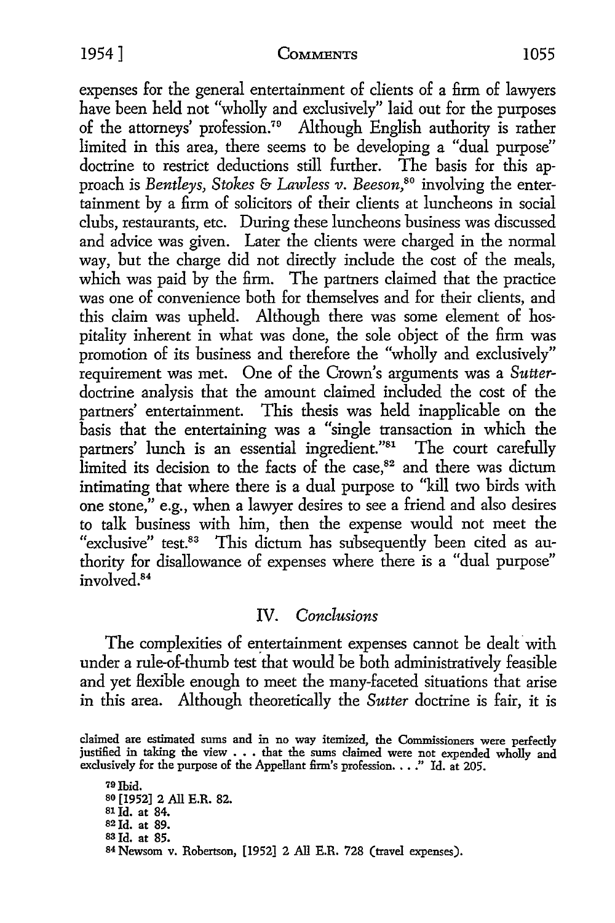expenses for the general entertainment of clients of a firm of lawyers have been held not "wholly and exclusively" laid out for the purposes of the attorneys' profession.79 Although English authority is rather limited in this area, there seems to be developing a "dual purpose" doctrine to restrict deductions still further. The basis for this approach is *Bentleys, Stokes* &- *Lawless v. Beeson,80* involving the entertainment by a firm of solicitors of their clients at luncheons in social clubs, restaurants, etc. During these luncheons business was discussed and advice was given. Later the clients were charged in the normal way, but the charge did not directly include the cost of the meals, which was paid by the firm. The partners claimed that the practice was one of convenience both for themselves and for their clients, and this claim was upheld. Although there was some element of hospitality inherent in what was done, the sole object of the firm was promotion of its business and therefore the "wholly and exclusively" requirement was met. One of the Crown's arguments was a *Sutter*doctrine analysis that the amount claimed included the cost of the partners' entertainment. This thesis was held inapplicable on the basis that the entertaining was a "single transaction in which the partners' lunch is an essential ingredient."<sup>81</sup> The court carefully limited its decision to the facts of the case,<sup>82</sup> and there was dictum intimating that where there is a dual purpose to "kill two birds with one stone," e.g., when a lawyer desires to see a friend and also desires to talk business with him, then the expense would not meet the "exclusive" test.<sup>83</sup> This dictum has subsequently been cited as authority for disallowance of expenses where there is a "dual purpose" involved.<sup>84</sup>

## IV. *Conclusions*

The complexities of entertainment expenses cannot be dealt with under a rule-of-thumb test that would be both administratively feasible and yet flexible enough to meet the many-faceted situations that arise in this area. Although theoretically the *Sutter* doctrine is fair, it is

79Jbid. 80 [1952] 2 All E.R. 82. SIId. at 84. S2Id. at 89. sa Id. at 85. 8<sup>4</sup>Newsom v. Robertson, [1952] 2 All E.R. 728 (travel expenses).

claimed are estimated sums and in no way itemized, the Commissioners were perfectly justified in taking the view . • • that the sums claimed were not expended wholly and exclusively for the purpose of the Appellant firm's profession.  $\ldots$ ." Id. at 205.